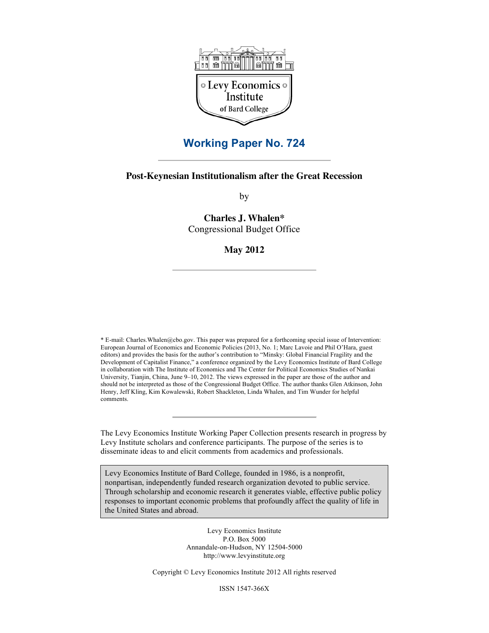

# **Working Paper No. 724**

# **Post-Keynesian Institutionalism after the Great Recession**

by

**Charles J. Whalen\*** Congressional Budget Office

# **May 2012**

\* E-mail: Charles.Whalen@cbo.gov. This paper was prepared for a forthcoming special issue of Intervention: European Journal of Economics and Economic Policies (2013, No. 1; Marc Lavoie and Phil O'Hara, guest editors) and provides the basis for the author's contribution to "Minsky: Global Financial Fragility and the Development of Capitalist Finance," a conference organized by the Levy Economics Institute of Bard College in collaboration with The Institute of Economics and The Center for Political Economics Studies of Nankai University, Tianjin, China, June 9–10, 2012. The views expressed in the paper are those of the author and should not be interpreted as those of the Congressional Budget Office. The author thanks Glen Atkinson, John Henry, Jeff Kling, Kim Kowalewski, Robert Shackleton, Linda Whalen, and Tim Wunder for helpful comments.

The Levy Economics Institute Working Paper Collection presents research in progress by Levy Institute scholars and conference participants. The purpose of the series is to disseminate ideas to and elicit comments from academics and professionals.

Levy Economics Institute of Bard College, founded in 1986, is a nonprofit, nonpartisan, independently funded research organization devoted to public service. Through scholarship and economic research it generates viable, effective public policy responses to important economic problems that profoundly affect the quality of life in the United States and abroad.

> Levy Economics Institute P.O. Box 5000 Annandale-on-Hudson, NY 12504-5000 http://www.levyinstitute.org

Copyright © Levy Economics Institute 2012 All rights reserved

ISSN 1547-366X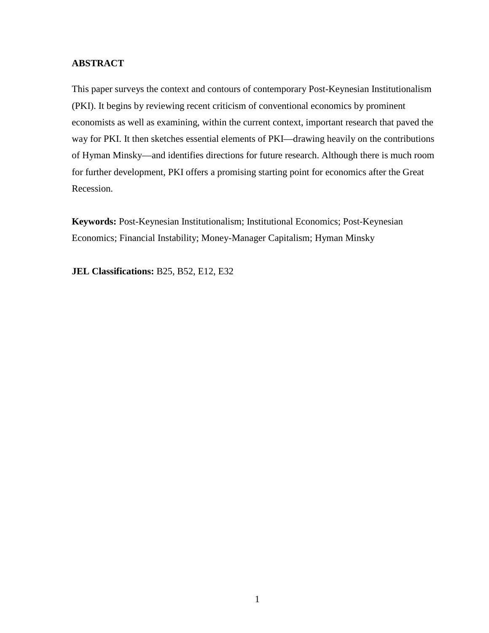# **ABSTRACT**

This paper surveys the context and contours of contemporary Post-Keynesian Institutionalism (PKI). It begins by reviewing recent criticism of conventional economics by prominent economists as well as examining, within the current context, important research that paved the way for PKI. It then sketches essential elements of PKI—drawing heavily on the contributions of Hyman Minsky—and identifies directions for future research. Although there is much room for further development, PKI offers a promising starting point for economics after the Great Recession.

**Keywords:** Post-Keynesian Institutionalism; Institutional Economics; Post-Keynesian Economics; Financial Instability; Money-Manager Capitalism; Hyman Minsky

**JEL Classifications:** B25, B52, E12, E32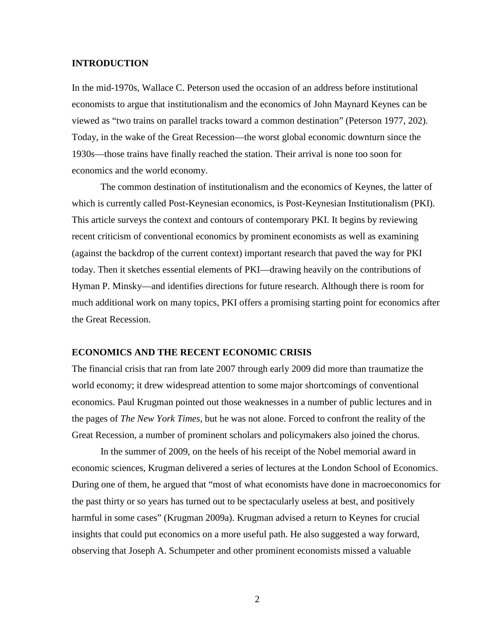# **INTRODUCTION**

In the mid-1970s, Wallace C. Peterson used the occasion of an address before institutional economists to argue that institutionalism and the economics of John Maynard Keynes can be viewed as "two trains on parallel tracks toward a common destination" (Peterson 1977, 202). Today, in the wake of the Great Recession—the worst global economic downturn since the 1930s—those trains have finally reached the station. Their arrival is none too soon for economics and the world economy.

The common destination of institutionalism and the economics of Keynes, the latter of which is currently called Post-Keynesian economics, is Post-Keynesian Institutionalism (PKI). This article surveys the context and contours of contemporary PKI. It begins by reviewing recent criticism of conventional economics by prominent economists as well as examining (against the backdrop of the current context) important research that paved the way for PKI today. Then it sketches essential elements of PKI—drawing heavily on the contributions of Hyman P. Minsky—and identifies directions for future research. Although there is room for much additional work on many topics, PKI offers a promising starting point for economics after the Great Recession.

# **ECONOMICS AND THE RECENT ECONOMIC CRISIS**

The financial crisis that ran from late 2007 through early 2009 did more than traumatize the world economy; it drew widespread attention to some major shortcomings of conventional economics. Paul Krugman pointed out those weaknesses in a number of public lectures and in the pages of *The New York Times*, but he was not alone. Forced to confront the reality of the Great Recession, a number of prominent scholars and policymakers also joined the chorus.

In the summer of 2009, on the heels of his receipt of the Nobel memorial award in economic sciences, Krugman delivered a series of lectures at the London School of Economics. During one of them, he argued that "most of what economists have done in macroeconomics for the past thirty or so years has turned out to be spectacularly useless at best, and positively harmful in some cases" (Krugman 2009a). Krugman advised a return to Keynes for crucial insights that could put economics on a more useful path. He also suggested a way forward, observing that Joseph A. Schumpeter and other prominent economists missed a valuable

2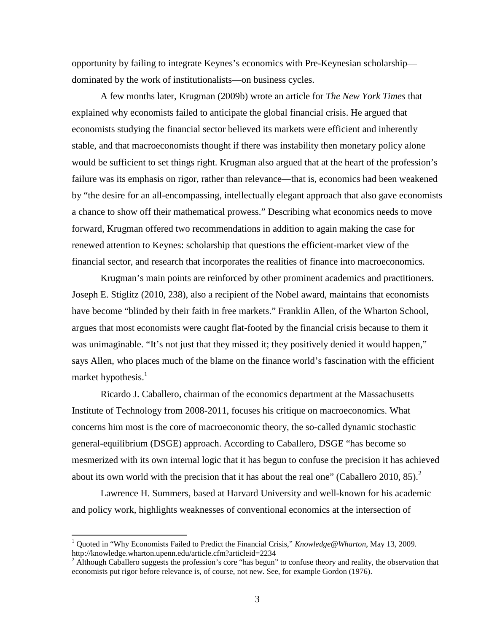opportunity by failing to integrate Keynes's economics with Pre-Keynesian scholarship dominated by the work of institutionalists—on business cycles.

A few months later, Krugman (2009b) wrote an article for *The New York Times* that explained why economists failed to anticipate the global financial crisis. He argued that economists studying the financial sector believed its markets were efficient and inherently stable, and that macroeconomists thought if there was instability then monetary policy alone would be sufficient to set things right. Krugman also argued that at the heart of the profession's failure was its emphasis on rigor, rather than relevance—that is, economics had been weakened by "the desire for an all-encompassing, intellectually elegant approach that also gave economists a chance to show off their mathematical prowess." Describing what economics needs to move forward, Krugman offered two recommendations in addition to again making the case for renewed attention to Keynes: scholarship that questions the efficient-market view of the financial sector, and research that incorporates the realities of finance into macroeconomics.

Krugman's main points are reinforced by other prominent academics and practitioners. Joseph E. Stiglitz (2010, 238), also a recipient of the Nobel award, maintains that economists have become "blinded by their faith in free markets." Franklin Allen, of the Wharton School, argues that most economists were caught flat-footed by the financial crisis because to them it was unimaginable. "It's not just that they missed it; they positively denied it would happen," says Allen, who places much of the blame on the finance world's fascination with the efficient market hypothesis. $<sup>1</sup>$  $<sup>1</sup>$  $<sup>1</sup>$ </sup>

Ricardo J. Caballero, chairman of the economics department at the Massachusetts Institute of Technology from 2008-2011, focuses his critique on macroeconomics. What concerns him most is the core of macroeconomic theory, the so-called dynamic stochastic general-equilibrium (DSGE) approach. According to Caballero, DSGE "has become so mesmerized with its own internal logic that it has begun to confuse the precision it has achieved aboutits own world with the precision that it has about the real one" (Caballero 2010, 85).

Lawrence H. Summers, based at Harvard University and well-known for his academic and policy work, highlights weaknesses of conventional economics at the intersection of

<span id="page-3-0"></span><sup>1</sup> Quoted in "Why Economists Failed to Predict the Financial Crisis," *Knowledge@Wharton*, May 13, 2009. http://knowledge.wharton.upenn.edu/article.cfm?articleid=2234

<span id="page-3-1"></span> $2 \text{ Although Caballero suggests the profession's core "has begun" to confuse theory and reality, the observation that}$ economists put rigor before relevance is, of course, not new. See, for example Gordon (1976).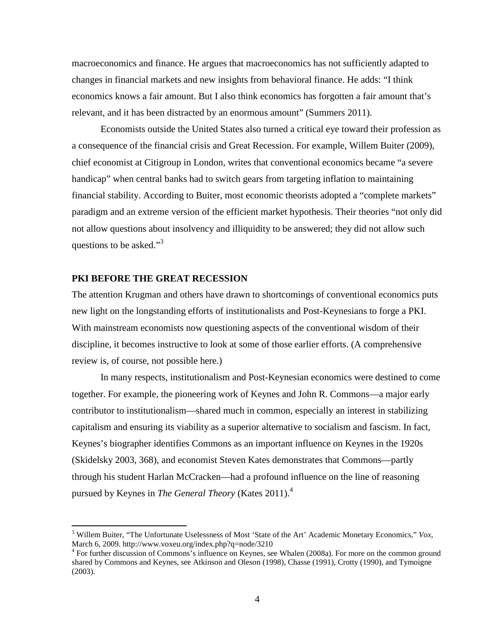macroeconomics and finance. He argues that macroeconomics has not sufficiently adapted to changes in financial markets and new insights from behavioral finance. He adds: "I think economics knows a fair amount. But I also think economics has forgotten a fair amount that's relevant, and it has been distracted by an enormous amount" (Summers 2011).

Economists outside the United States also turned a critical eye toward their profession as a consequence of the financial crisis and Great Recession. For example, Willem Buiter (2009), chief economist at Citigroup in London, writes that conventional economics became "a severe handicap" when central banks had to switch gears from targeting inflation to maintaining financial stability. According to Buiter, most economic theorists adopted a "complete markets" paradigm and an extreme version of the efficient market hypothesis. Their theories "not only did not allow questions about insolvency and illiquidity to be answered; they did not allow such questions to be asked."<sup>[3](#page-4-0)</sup>

# **PKI BEFORE THE GREAT RECESSION**

The attention Krugman and others have drawn to shortcomings of conventional economics puts new light on the longstanding efforts of institutionalists and Post-Keynesians to forge a PKI. With mainstream economists now questioning aspects of the conventional wisdom of their discipline, it becomes instructive to look at some of those earlier efforts. (A comprehensive review is, of course, not possible here.)

In many respects, institutionalism and Post-Keynesian economics were destined to come together. For example, the pioneering work of Keynes and John R. Commons—a major early contributor to institutionalism—shared much in common, especially an interest in stabilizing capitalism and ensuring its viability as a superior alternative to socialism and fascism. In fact, Keynes's biographer identifies Commons as an important influence on Keynes in the 1920s (Skidelsky 2003, 368), and economist Steven Kates demonstrates that Commons—partly through his student Harlan McCracken—had a profound influence on the line of reasoning pursued by Keynes in *The General Theory* (Kates 2011).[4](#page-4-1)

<span id="page-4-0"></span><sup>3</sup> Willem Buiter, "The Unfortunate Uselessness of Most 'State of the Art' Academic Monetary Economics," *Vox*, March 6, 2009. http://www.voxeu.org/index.php?q=node/3210

<span id="page-4-1"></span><sup>&</sup>lt;sup>4</sup> For further discussion of Commons's influence on Keynes, see Whalen (2008a). For more on the common ground shared by Commons and Keynes, see Atkinson and Oleson (1998), Chasse (1991), Crotty (1990), and Tymoigne (2003).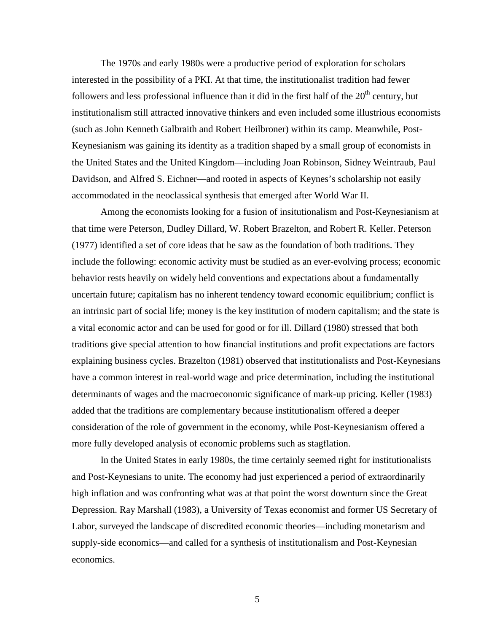The 1970s and early 1980s were a productive period of exploration for scholars interested in the possibility of a PKI. At that time, the institutionalist tradition had fewer followers and less professional influence than it did in the first half of the  $20<sup>th</sup>$  century, but institutionalism still attracted innovative thinkers and even included some illustrious economists (such as John Kenneth Galbraith and Robert Heilbroner) within its camp. Meanwhile, Post-Keynesianism was gaining its identity as a tradition shaped by a small group of economists in the United States and the United Kingdom—including Joan Robinson, Sidney Weintraub, Paul Davidson, and Alfred S. Eichner—and rooted in aspects of Keynes's scholarship not easily accommodated in the neoclassical synthesis that emerged after World War II.

Among the economists looking for a fusion of insitutionalism and Post-Keynesianism at that time were Peterson, Dudley Dillard, W. Robert Brazelton, and Robert R. Keller. Peterson (1977) identified a set of core ideas that he saw as the foundation of both traditions. They include the following: economic activity must be studied as an ever-evolving process; economic behavior rests heavily on widely held conventions and expectations about a fundamentally uncertain future; capitalism has no inherent tendency toward economic equilibrium; conflict is an intrinsic part of social life; money is the key institution of modern capitalism; and the state is a vital economic actor and can be used for good or for ill. Dillard (1980) stressed that both traditions give special attention to how financial institutions and profit expectations are factors explaining business cycles. Brazelton (1981) observed that institutionalists and Post-Keynesians have a common interest in real-world wage and price determination, including the institutional determinants of wages and the macroeconomic significance of mark-up pricing. Keller (1983) added that the traditions are complementary because institutionalism offered a deeper consideration of the role of government in the economy, while Post-Keynesianism offered a more fully developed analysis of economic problems such as stagflation.

In the United States in early 1980s, the time certainly seemed right for institutionalists and Post-Keynesians to unite. The economy had just experienced a period of extraordinarily high inflation and was confronting what was at that point the worst downturn since the Great Depression. Ray Marshall (1983), a University of Texas economist and former US Secretary of Labor, surveyed the landscape of discredited economic theories—including monetarism and supply-side economics—and called for a synthesis of institutionalism and Post-Keynesian economics.

5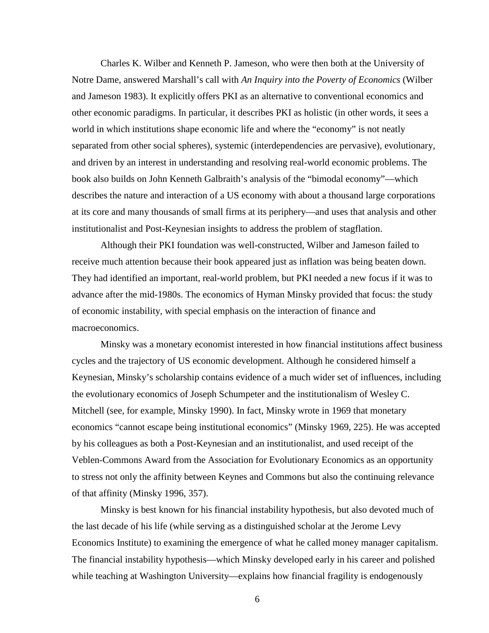Charles K. Wilber and Kenneth P. Jameson, who were then both at the University of Notre Dame, answered Marshall's call with *An Inquiry into the Poverty of Economics* (Wilber and Jameson 1983). It explicitly offers PKI as an alternative to conventional economics and other economic paradigms. In particular, it describes PKI as holistic (in other words, it sees a world in which institutions shape economic life and where the "economy" is not neatly separated from other social spheres), systemic (interdependencies are pervasive), evolutionary, and driven by an interest in understanding and resolving real-world economic problems. The book also builds on John Kenneth Galbraith's analysis of the "bimodal economy"—which describes the nature and interaction of a US economy with about a thousand large corporations at its core and many thousands of small firms at its periphery—and uses that analysis and other institutionalist and Post-Keynesian insights to address the problem of stagflation.

Although their PKI foundation was well-constructed, Wilber and Jameson failed to receive much attention because their book appeared just as inflation was being beaten down. They had identified an important, real-world problem, but PKI needed a new focus if it was to advance after the mid-1980s. The economics of Hyman Minsky provided that focus: the study of economic instability, with special emphasis on the interaction of finance and macroeconomics.

Minsky was a monetary economist interested in how financial institutions affect business cycles and the trajectory of US economic development. Although he considered himself a Keynesian, Minsky's scholarship contains evidence of a much wider set of influences, including the evolutionary economics of Joseph Schumpeter and the institutionalism of Wesley C. Mitchell (see, for example, Minsky 1990). In fact, Minsky wrote in 1969 that monetary economics "cannot escape being institutional economics" (Minsky 1969, 225). He was accepted by his colleagues as both a Post-Keynesian and an institutionalist, and used receipt of the Veblen-Commons Award from the Association for Evolutionary Economics as an opportunity to stress not only the affinity between Keynes and Commons but also the continuing relevance of that affinity (Minsky 1996, 357).

Minsky is best known for his financial instability hypothesis, but also devoted much of the last decade of his life (while serving as a distinguished scholar at the Jerome Levy Economics Institute) to examining the emergence of what he called money manager capitalism. The financial instability hypothesis—which Minsky developed early in his career and polished while teaching at Washington University—explains how financial fragility is endogenously

6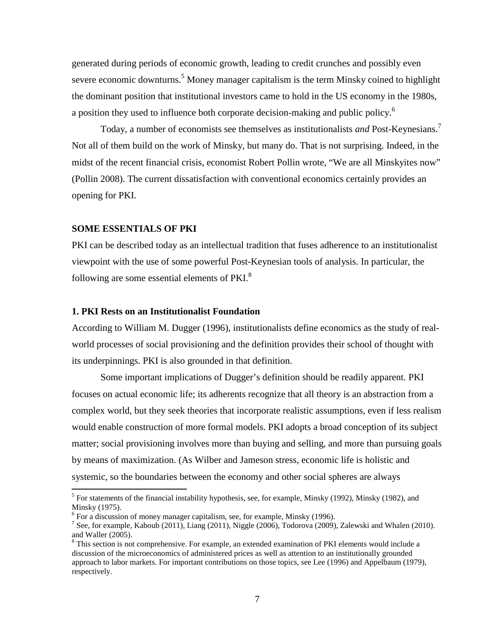generated during periods of economic growth, leading to credit crunches and possibly even severe economic downturns.<sup>5</sup> [M](#page-7-0)oney manager capitalism is the term Minsky coined to highlight the dominant position that institutional investors came to hold in the US economy in the 1980s, a position they used to influence both corporate decision-making and public policy.<sup>[6](#page-7-1)</sup>

Today, a number of economists see themselves as institutionalists *and* Post-Keynesians.[7](#page-7-2) Not all of them build on the work of Minsky, but many do. That is not surprising. Indeed, in the midst of the recent financial crisis, economist Robert Pollin wrote, "We are all Minskyites now" (Pollin 2008). The current dissatisfaction with conventional economics certainly provides an opening for PKI.

# **SOME ESSENTIALS OF PKI**

PKI can be described today as an intellectual tradition that fuses adherence to an institutionalist viewpoint with the use of some powerful Post-Keynesian tools of analysis. In particular, the following are some essential elements of  $PKI<sup>8</sup>$  $PKI<sup>8</sup>$  $PKI<sup>8</sup>$ .

# **1. PKI Rests on an Institutionalist Foundation**

According to William M. Dugger (1996), institutionalists define economics as the study of realworld processes of social provisioning and the definition provides their school of thought with its underpinnings. PKI is also grounded in that definition.

Some important implications of Dugger's definition should be readily apparent. PKI focuses on actual economic life; its adherents recognize that all theory is an abstraction from a complex world, but they seek theories that incorporate realistic assumptions, even if less realism would enable construction of more formal models. PKI adopts a broad conception of its subject matter; social provisioning involves more than buying and selling, and more than pursuing goals by means of maximization. (As Wilber and Jameson stress, economic life is holistic and systemic, so the boundaries between the economy and other social spheres are always

<span id="page-7-0"></span> $<sup>5</sup>$  For statements of the financial instability hypothesis, see, for example, Minsky (1992), Minsky (1982), and</sup> Minsky (1975).

<span id="page-7-2"></span><span id="page-7-1"></span> $6$  For a discussion of money manager capitalism, see, for example, Minsky (1996).

<sup>&</sup>lt;sup>7</sup> See, for example, Kaboub (2011), Liang (2011), Niggle (2006), Todorova (2009), Zalewski and Whalen (2010). and Waller (2005).

<span id="page-7-3"></span><sup>&</sup>lt;sup>8</sup> This section is not comprehensive. For example, an extended examination of PKI elements would include a discussion of the microeconomics of administered prices as well as attention to an institutionally grounded approach to labor markets. For important contributions on those topics, see Lee (1996) and Appelbaum (1979), respectively.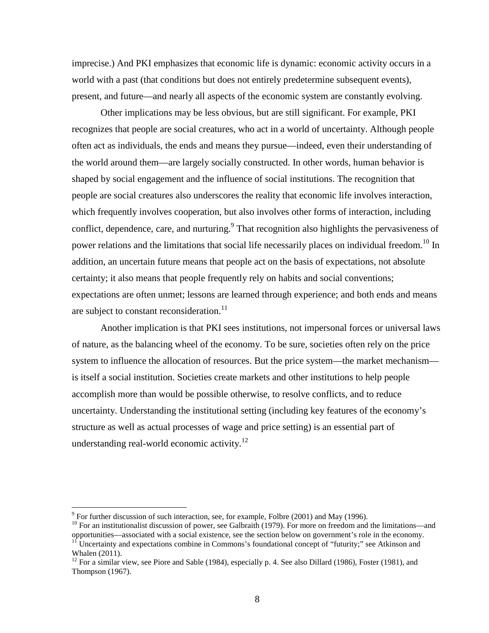imprecise.) And PKI emphasizes that economic life is dynamic: economic activity occurs in a world with a past (that conditions but does not entirely predetermine subsequent events), present, and future—and nearly all aspects of the economic system are constantly evolving.

Other implications may be less obvious, but are still significant. For example, PKI recognizes that people are social creatures, who act in a world of uncertainty. Although people often act as individuals, the ends and means they pursue—indeed, even their understanding of the world around them—are largely socially constructed. In other words, human behavior is shaped by social engagement and the influence of social institutions. The recognition that people are social creatures also underscores the reality that economic life involves interaction, which frequently involves cooperation, but also involves other forms of interaction, including conflict, dependence, care, and nurturing.<sup>[9](#page-8-0)</sup> That recognition also highlights the pervasiveness of power relations and the limitations that social life necessarily places on individual freedom.<sup>[10](#page-8-1)</sup> In addition, an uncertain future means that people act on the basis of expectations, not absolute certainty; it also means that people frequently rely on habits and social conventions; expectations are often unmet; lessons are learned through experience; and both ends and means are subject to constant reconsideration. $11$ 

Another implication is that PKI sees institutions, not impersonal forces or universal laws of nature, as the balancing wheel of the economy. To be sure, societies often rely on the price system to influence the allocation of resources. But the price system—the market mechanism is itself a social institution. Societies create markets and other institutions to help people accomplish more than would be possible otherwise, to resolve conflicts, and to reduce uncertainty. Understanding the institutional setting (including key features of the economy's structure as well as actual processes of wage and price setting) is an essential part of understanding real-world economic activity.[12](#page-8-3)

<span id="page-8-1"></span><span id="page-8-0"></span> $9^9$  For further discussion of such interaction, see, for example, Folbre (2001) and May (1996).

<span id="page-8-2"></span> $10$  For an institutionalist discussion of power, see Galbraith (1979). For more on freedom and the limitations—and opportunities—associated with a social existence, see the section below on government's role in the economy. <sup>11</sup> Uncertainty and expectations combine in Commons's foundational concept of "futurity;" see Atkinson and Whalen (2011).

<span id="page-8-3"></span><sup>&</sup>lt;sup>12</sup> For a similar view, see Piore and Sable (1984), especially p. 4. See also Dillard (1986), Foster (1981), and Thompson (1967).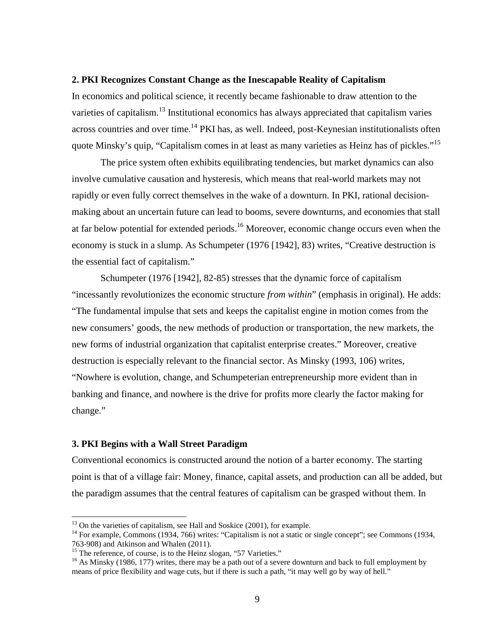#### **2. PKI Recognizes Constant Change as the Inescapable Reality of Capitalism**

In economics and political science, it recently became fashionable to draw attention to the varieties of capitalism.<sup>[13](#page-9-0)</sup> Institutional economics has always appreciated that capitalism varies acrosscountries and over time.<sup>14</sup> PKI has, as well. Indeed, post-Keynesian institutionalists often quote Minsky's quip, "Capitalism comes in at least as many varieties as Heinz has of pickles."[15](#page-9-2)

The price system often exhibits equilibrating tendencies, but market dynamics can also involve cumulative causation and hysteresis, which means that real-world markets may not rapidly or even fully correct themselves in the wake of a downturn. In PKI, rational decisionmaking about an uncertain future can lead to booms, severe downturns, and economies that stall at far below potential for extended periods.[16](#page-9-3) Moreover, economic change occurs even when the economy is stuck in a slump. As Schumpeter (1976 [1942], 83) writes, "Creative destruction is the essential fact of capitalism."

Schumpeter (1976 [1942], 82-85) stresses that the dynamic force of capitalism "incessantly revolutionizes the economic structure *from within*" (emphasis in original). He adds: "The fundamental impulse that sets and keeps the capitalist engine in motion comes from the new consumers' goods, the new methods of production or transportation, the new markets, the new forms of industrial organization that capitalist enterprise creates." Moreover, creative destruction is especially relevant to the financial sector. As Minsky (1993, 106) writes, "Nowhere is evolution, change, and Schumpeterian entrepreneurship more evident than in banking and finance, and nowhere is the drive for profits more clearly the factor making for change."

# **3. PKI Begins with a Wall Street Paradigm**

Conventional economics is constructed around the notion of a barter economy. The starting point is that of a village fair: Money, finance, capital assets, and production can all be added, but the paradigm assumes that the central features of capitalism can be grasped without them. In

<span id="page-9-0"></span> $13$  On the varieties of capitalism, see Hall and Soskice (2001), for example.

<span id="page-9-1"></span><sup>&</sup>lt;sup>14</sup> For example, Commons (1934, 766) writes: "Capitalism is not a static or single concept"; see Commons (1934, 763-908) and Atkinson and Whalen (2011).

<span id="page-9-2"></span><sup>&</sup>lt;sup>15</sup> The reference, of course, is to the Heinz slogan, "57 Varieties."

<span id="page-9-3"></span><sup>&</sup>lt;sup>16</sup> As Minsky (1986, 177) writes, there may be a path out of a severe downturn and back to full employment by means of price flexibility and wage cuts, but if there is such a path, "it may well go by way of hell."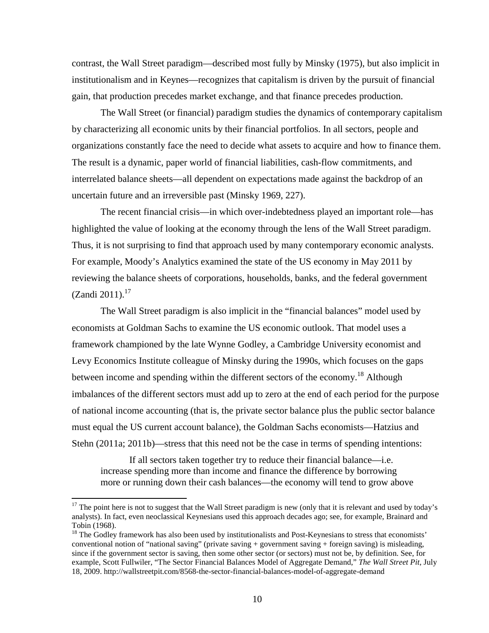contrast, the Wall Street paradigm—described most fully by Minsky (1975), but also implicit in institutionalism and in Keynes—recognizes that capitalism is driven by the pursuit of financial gain, that production precedes market exchange, and that finance precedes production.

The Wall Street (or financial) paradigm studies the dynamics of contemporary capitalism by characterizing all economic units by their financial portfolios. In all sectors, people and organizations constantly face the need to decide what assets to acquire and how to finance them. The result is a dynamic, paper world of financial liabilities, cash-flow commitments, and interrelated balance sheets—all dependent on expectations made against the backdrop of an uncertain future and an irreversible past (Minsky 1969, 227).

The recent financial crisis—in which over-indebtedness played an important role—has highlighted the value of looking at the economy through the lens of the Wall Street paradigm. Thus, it is not surprising to find that approach used by many contemporary economic analysts. For example, Moody's Analytics examined the state of the US economy in May 2011 by reviewing the balance sheets of corporations, households, banks, and the federal government  $(Zandi 2011).$ <sup>[17](#page-10-0)</sup>

The Wall Street paradigm is also implicit in the "financial balances" model used by economists at Goldman Sachs to examine the US economic outlook. That model uses a framework championed by the late Wynne Godley, a Cambridge University economist and Levy Economics Institute colleague of Minsky during the 1990s, which focuses on the gaps between income and spending within the different sectors of the economy.<sup>[18](#page-10-1)</sup> Although imbalances of the different sectors must add up to zero at the end of each period for the purpose of national income accounting (that is, the private sector balance plus the public sector balance must equal the US current account balance), the Goldman Sachs economists—Hatzius and Stehn (2011a; 2011b)—stress that this need not be the case in terms of spending intentions:

If all sectors taken together try to reduce their financial balance—i.e. increase spending more than income and finance the difference by borrowing more or running down their cash balances—the economy will tend to grow above

<span id="page-10-0"></span> $17$  The point here is not to suggest that the Wall Street paradigm is new (only that it is relevant and used by today's analysts). In fact, even neoclassical Keynesians used this approach decades ago; see, for example, Brainard and Tobin (1968).

<span id="page-10-1"></span><sup>&</sup>lt;sup>18</sup> The Godley framework has also been used by institutionalists and Post-Keynesians to stress that economists' conventional notion of "national saving" (private saving + government saving + foreign saving) is misleading, since if the government sector is saving, then some other sector (or sectors) must not be, by definition. See, for example, Scott Fullwiler, "The Sector Financial Balances Model of Aggregate Demand," *The Wall Street Pit*, July 18, 2009. http://wallstreetpit.com/8568-the-sector-financial-balances-model-of-aggregate-demand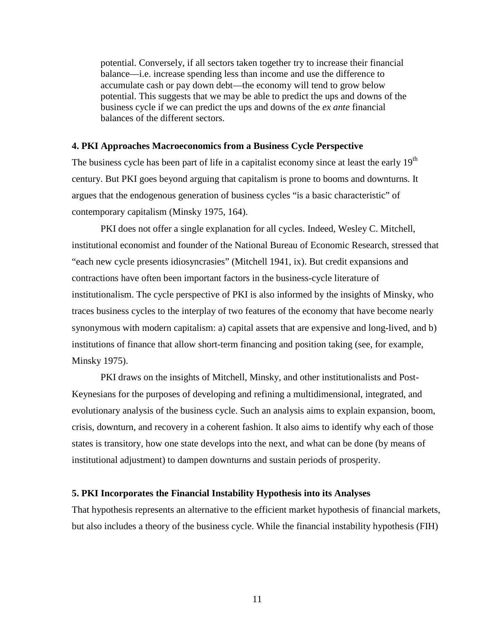potential. Conversely, if all sectors taken together try to increase their financial balance—i.e. increase spending less than income and use the difference to accumulate cash or pay down debt—the economy will tend to grow below potential. This suggests that we may be able to predict the ups and downs of the business cycle if we can predict the ups and downs of the *ex ante* financial balances of the different sectors.

#### **4. PKI Approaches Macroeconomics from a Business Cycle Perspective**

The business cycle has been part of life in a capitalist economy since at least the early 19<sup>th</sup> century. But PKI goes beyond arguing that capitalism is prone to booms and downturns. It argues that the endogenous generation of business cycles "is a basic characteristic" of contemporary capitalism (Minsky 1975, 164).

PKI does not offer a single explanation for all cycles. Indeed, Wesley C. Mitchell, institutional economist and founder of the National Bureau of Economic Research, stressed that "each new cycle presents idiosyncrasies" (Mitchell 1941, ix). But credit expansions and contractions have often been important factors in the business-cycle literature of institutionalism. The cycle perspective of PKI is also informed by the insights of Minsky, who traces business cycles to the interplay of two features of the economy that have become nearly synonymous with modern capitalism: a) capital assets that are expensive and long-lived, and b) institutions of finance that allow short-term financing and position taking (see, for example, Minsky 1975).

PKI draws on the insights of Mitchell, Minsky, and other institutionalists and Post-Keynesians for the purposes of developing and refining a multidimensional, integrated, and evolutionary analysis of the business cycle. Such an analysis aims to explain expansion, boom, crisis, downturn, and recovery in a coherent fashion. It also aims to identify why each of those states is transitory, how one state develops into the next, and what can be done (by means of institutional adjustment) to dampen downturns and sustain periods of prosperity.

# **5. PKI Incorporates the Financial Instability Hypothesis into its Analyses**

That hypothesis represents an alternative to the efficient market hypothesis of financial markets, but also includes a theory of the business cycle. While the financial instability hypothesis (FIH)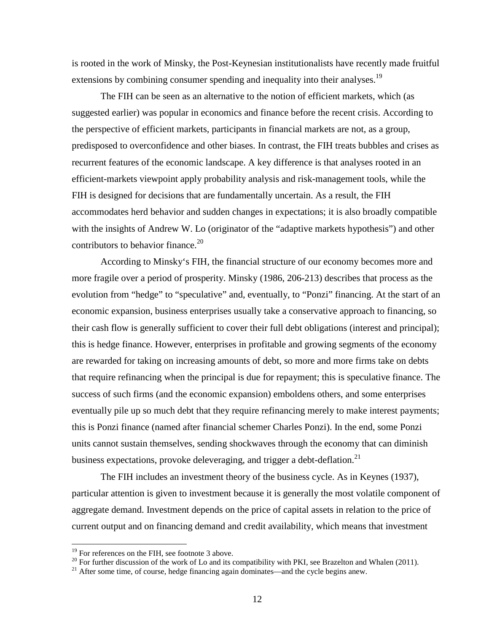is rooted in the work of Minsky, the Post-Keynesian institutionalists have recently made fruitful extensions by combining consumer spending and inequality into their analyses.<sup>[19](#page-12-0)</sup>

The FIH can be seen as an alternative to the notion of efficient markets, which (as suggested earlier) was popular in economics and finance before the recent crisis. According to the perspective of efficient markets, participants in financial markets are not, as a group, predisposed to overconfidence and other biases. In contrast, the FIH treats bubbles and crises as recurrent features of the economic landscape. A key difference is that analyses rooted in an efficient-markets viewpoint apply probability analysis and risk-management tools, while the FIH is designed for decisions that are fundamentally uncertain. As a result, the FIH accommodates herd behavior and sudden changes in expectations; it is also broadly compatible with the insights of Andrew W. Lo (originator of the "adaptive markets hypothesis") and other contributors to behavior finance. $20$ 

According to Minsky's FIH, the financial structure of our economy becomes more and more fragile over a period of prosperity. Minsky (1986, 206-213) describes that process as the evolution from "hedge" to "speculative" and, eventually, to "Ponzi" financing. At the start of an economic expansion, business enterprises usually take a conservative approach to financing, so their cash flow is generally sufficient to cover their full debt obligations (interest and principal); this is hedge finance. However, enterprises in profitable and growing segments of the economy are rewarded for taking on increasing amounts of debt, so more and more firms take on debts that require refinancing when the principal is due for repayment; this is speculative finance. The success of such firms (and the economic expansion) emboldens others, and some enterprises eventually pile up so much debt that they require refinancing merely to make interest payments; this is Ponzi finance (named after financial schemer Charles Ponzi). In the end, some Ponzi units cannot sustain themselves, sending shockwaves through the economy that can diminish business expectations, provoke deleveraging, and trigger a debt-deflation.<sup>[21](#page-12-2)</sup>

The FIH includes an investment theory of the business cycle. As in Keynes (1937), particular attention is given to investment because it is generally the most volatile component of aggregate demand. Investment depends on the price of capital assets in relation to the price of current output and on financing demand and credit availability, which means that investment

<span id="page-12-0"></span><sup>&</sup>lt;sup>19</sup> For references on the FIH, see footnote 3 above.

<span id="page-12-1"></span><sup>&</sup>lt;sup>20</sup> For further discussion of the work of Lo and its compatibility with PKI, see Brazelton and Whalen (2011).

<span id="page-12-2"></span> $21$  After some time, of course, hedge financing again dominates—and the cycle begins anew.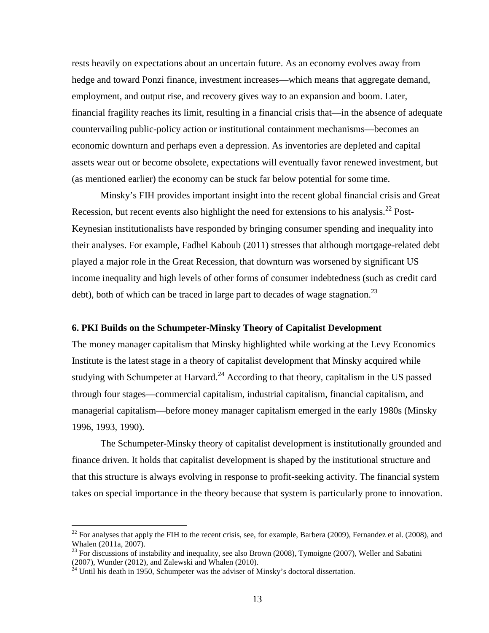rests heavily on expectations about an uncertain future. As an economy evolves away from hedge and toward Ponzi finance, investment increases—which means that aggregate demand, employment, and output rise, and recovery gives way to an expansion and boom. Later, financial fragility reaches its limit, resulting in a financial crisis that—in the absence of adequate countervailing public-policy action or institutional containment mechanisms—becomes an economic downturn and perhaps even a depression. As inventories are depleted and capital assets wear out or become obsolete, expectations will eventually favor renewed investment, but (as mentioned earlier) the economy can be stuck far below potential for some time.

Minsky's FIH provides important insight into the recent global financial crisis and Great Recession, but recent events also highlight the need for extensions to his analysis.<sup>[22](#page-13-0)</sup> Post-Keynesian institutionalists have responded by bringing consumer spending and inequality into their analyses. For example, Fadhel Kaboub (2011) stresses that although mortgage-related debt played a major role in the Great Recession, that downturn was worsened by significant US income inequality and high levels of other forms of consumer indebtedness (such as credit card debt), both of which can be traced in large part to decades of wage stagnation.<sup>[23](#page-13-1)</sup>

#### **6. PKI Builds on the Schumpeter-Minsky Theory of Capitalist Development**

The money manager capitalism that Minsky highlighted while working at the Levy Economics Institute is the latest stage in a theory of capitalist development that Minsky acquired while studying with Schumpeter at Harvard.<sup>[24](#page-13-2)</sup> According to that theory, capitalism in the US passed through four stages—commercial capitalism, industrial capitalism, financial capitalism, and managerial capitalism—before money manager capitalism emerged in the early 1980s (Minsky 1996, 1993, 1990).

The Schumpeter-Minsky theory of capitalist development is institutionally grounded and finance driven. It holds that capitalist development is shaped by the institutional structure and that this structure is always evolving in response to profit-seeking activity. The financial system takes on special importance in the theory because that system is particularly prone to innovation.

<span id="page-13-0"></span> $22$  For analyses that apply the FIH to the recent crisis, see, for example, Barbera (2009), Fernandez et al. (2008), and Whalen (2011a, 2007).

<span id="page-13-1"></span><sup>&</sup>lt;sup>23</sup> For discussions of instability and inequality, see also Brown (2008), Tymoigne (2007), Weller and Sabatini (2007), Wunder (2012), and Zalewski and Whalen (2010).

<span id="page-13-2"></span> $^{24}$  Until his death in 1950, Schumpeter was the adviser of Minsky's doctoral dissertation.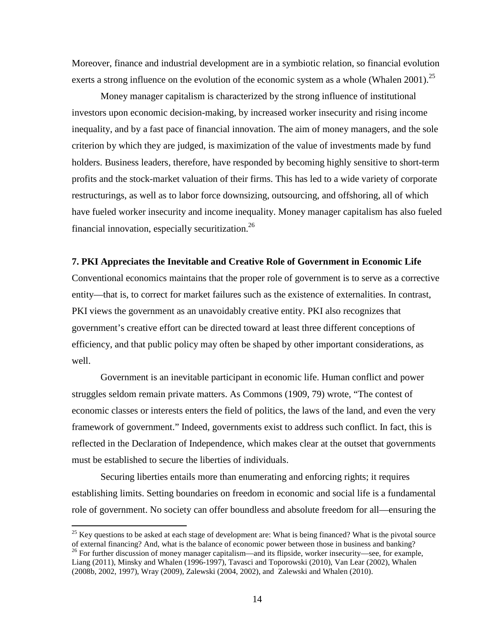Moreover, finance and industrial development are in a symbiotic relation, so financial evolution exerts a strong influence on the evolution of the economic system as a whole (Whalen 2001).<sup>[25](#page-14-0)</sup>

Money manager capitalism is characterized by the strong influence of institutional investors upon economic decision-making, by increased worker insecurity and rising income inequality, and by a fast pace of financial innovation. The aim of money managers, and the sole criterion by which they are judged, is maximization of the value of investments made by fund holders. Business leaders, therefore, have responded by becoming highly sensitive to short-term profits and the stock-market valuation of their firms. This has led to a wide variety of corporate restructurings, as well as to labor force downsizing, outsourcing, and offshoring, all of which have fueled worker insecurity and income inequality. Money manager capitalism has also fueled financial innovation, especially securitization.[26](#page-14-1)

### **7. PKI Appreciates the Inevitable and Creative Role of Government in Economic Life**

Conventional economics maintains that the proper role of government is to serve as a corrective entity—that is, to correct for market failures such as the existence of externalities. In contrast, PKI views the government as an unavoidably creative entity. PKI also recognizes that government's creative effort can be directed toward at least three different conceptions of efficiency, and that public policy may often be shaped by other important considerations, as well.

Government is an inevitable participant in economic life. Human conflict and power struggles seldom remain private matters. As Commons (1909, 79) wrote, "The contest of economic classes or interests enters the field of politics, the laws of the land, and even the very framework of government." Indeed, governments exist to address such conflict. In fact, this is reflected in the Declaration of Independence, which makes clear at the outset that governments must be established to secure the liberties of individuals.

Securing liberties entails more than enumerating and enforcing rights; it requires establishing limits. Setting boundaries on freedom in economic and social life is a fundamental role of government. No society can offer boundless and absolute freedom for all—ensuring the

<span id="page-14-0"></span> $^{25}$  Key questions to be asked at each stage of development are: What is being financed? What is the pivotal source of external financing? And, what is the balance of economic power between those in business and banking?  $26$  For further discussion of money manager capitalism—and its flipside, worker insecurity—see, for example,

<span id="page-14-1"></span>Liang (2011), Minsky and Whalen (1996-1997), Tavasci and Toporowski (2010), Van Lear (2002), Whalen (2008b, 2002, 1997), Wray (2009), Zalewski (2004, 2002), and Zalewski and Whalen (2010).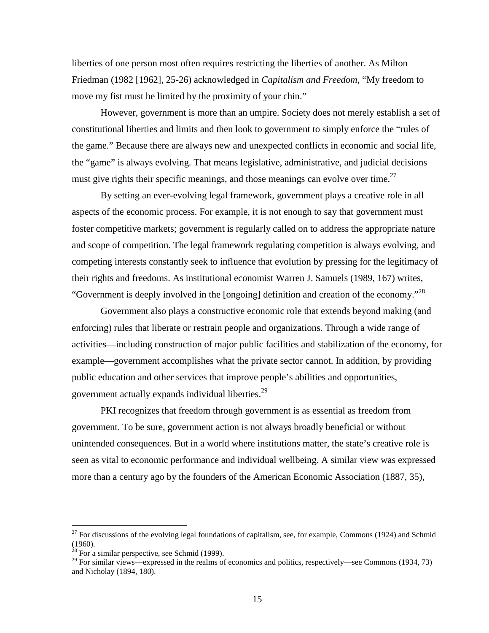liberties of one person most often requires restricting the liberties of another. As Milton Friedman (1982 [1962], 25-26) acknowledged in *Capitalism and Freedom*, "My freedom to move my fist must be limited by the proximity of your chin."

However, government is more than an umpire. Society does not merely establish a set of constitutional liberties and limits and then look to government to simply enforce the "rules of the game." Because there are always new and unexpected conflicts in economic and social life, the "game" is always evolving. That means legislative, administrative, and judicial decisions must give rights their specific meanings, and those meanings can evolve over time.<sup>[27](#page-15-0)</sup>

By setting an ever-evolving legal framework, government plays a creative role in all aspects of the economic process. For example, it is not enough to say that government must foster competitive markets; government is regularly called on to address the appropriate nature and scope of competition. The legal framework regulating competition is always evolving, and competing interests constantly seek to influence that evolution by pressing for the legitimacy of their rights and freedoms. As institutional economist Warren J. Samuels (1989, 167) writes, "Government is deeply involved in the [ongoing] definition and creation of the economy."<sup>[28](#page-15-1)</sup>

Government also plays a constructive economic role that extends beyond making (and enforcing) rules that liberate or restrain people and organizations. Through a wide range of activities—including construction of major public facilities and stabilization of the economy, for example—government accomplishes what the private sector cannot. In addition, by providing public education and other services that improve people's abilities and opportunities, government actually expands individual liberties.<sup>[29](#page-15-2)</sup>

PKI recognizes that freedom through government is as essential as freedom from government. To be sure, government action is not always broadly beneficial or without unintended consequences. But in a world where institutions matter, the state's creative role is seen as vital to economic performance and individual wellbeing. A similar view was expressed more than a century ago by the founders of the American Economic Association (1887, 35),

<span id="page-15-0"></span> $^{27}$  For discussions of the evolving legal foundations of capitalism, see, for example, Commons (1924) and Schmid (1960).

<span id="page-15-2"></span><span id="page-15-1"></span> $^{28}$  For a similar perspective, see Schmid (1999).

<sup>&</sup>lt;sup>29</sup> For similar views—expressed in the realms of economics and politics, respectively—see Commons (1934, 73) and Nicholay (1894, 180).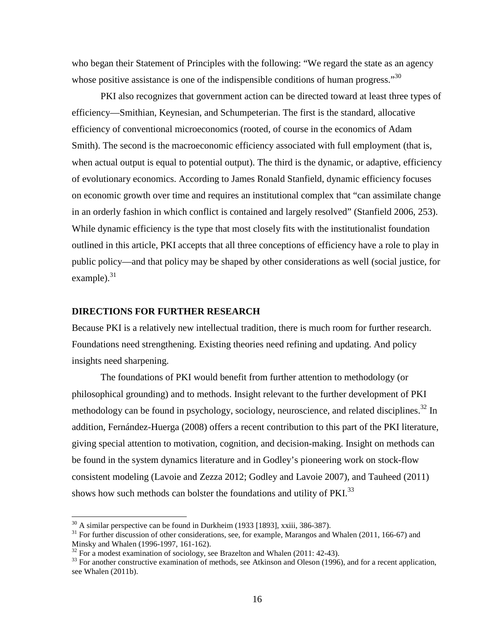who began their Statement of Principles with the following: "We regard the state as an agency whose positive assistance is one of the indispensible conditions of human progress."<sup>[30](#page-16-0)</sup>

PKI also recognizes that government action can be directed toward at least three types of efficiency—Smithian, Keynesian, and Schumpeterian. The first is the standard, allocative efficiency of conventional microeconomics (rooted, of course in the economics of Adam Smith). The second is the macroeconomic efficiency associated with full employment (that is, when actual output is equal to potential output). The third is the dynamic, or adaptive, efficiency of evolutionary economics. According to James Ronald Stanfield, dynamic efficiency focuses on economic growth over time and requires an institutional complex that "can assimilate change in an orderly fashion in which conflict is contained and largely resolved" (Stanfield 2006, 253). While dynamic efficiency is the type that most closely fits with the institutionalist foundation outlined in this article, PKI accepts that all three conceptions of efficiency have a role to play in public policy—and that policy may be shaped by other considerations as well (social justice, for example). $31$ 

# **DIRECTIONS FOR FURTHER RESEARCH**

Because PKI is a relatively new intellectual tradition, there is much room for further research. Foundations need strengthening. Existing theories need refining and updating. And policy insights need sharpening.

The foundations of PKI would benefit from further attention to methodology (or philosophical grounding) and to methods. Insight relevant to the further development of PKI methodology can be found in psychology, sociology, neuroscience, and related disciplines.<sup>[32](#page-16-2)</sup> In addition, Fernández-Huerga (2008) offers a recent contribution to this part of the PKI literature, giving special attention to motivation, cognition, and decision-making. Insight on methods can be found in the system dynamics literature and in Godley's pioneering work on stock-flow consistent modeling (Lavoie and Zezza 2012; Godley and Lavoie 2007), and Tauheed (2011) shows how such methods can bolster the foundations and utility of PKI.<sup>[33](#page-16-3)</sup>

<span id="page-16-0"></span> $30$  A similar perspective can be found in Durkheim (1933 [1893], xxiii, 386-387).

<span id="page-16-1"></span><sup>&</sup>lt;sup>31</sup> For further discussion of other considerations, see, for example, Marangos and Whalen (2011, 166-67) and Minsky and Whalen (1996-1997, 161-162).

<span id="page-16-2"></span> $32$  For a modest examination of sociology, see Brazelton and Whalen (2011: 42-43).

<span id="page-16-3"></span><sup>&</sup>lt;sup>33</sup> For another constructive examination of methods, see Atkinson and Oleson (1996), and for a recent application, see Whalen (2011b).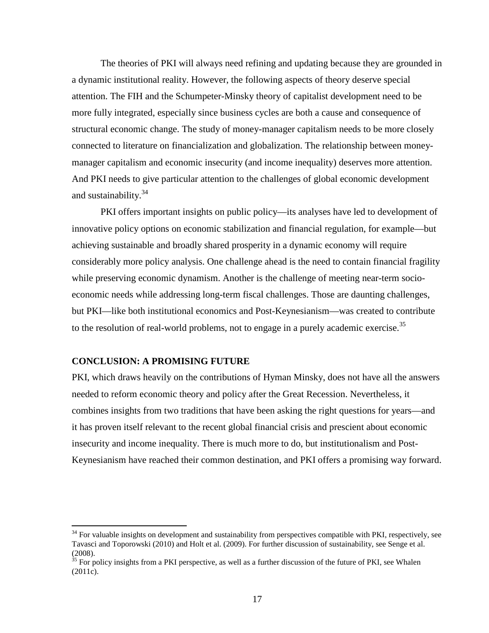The theories of PKI will always need refining and updating because they are grounded in a dynamic institutional reality. However, the following aspects of theory deserve special attention. The FIH and the Schumpeter-Minsky theory of capitalist development need to be more fully integrated, especially since business cycles are both a cause and consequence of structural economic change. The study of money-manager capitalism needs to be more closely connected to literature on financialization and globalization. The relationship between moneymanager capitalism and economic insecurity (and income inequality) deserves more attention. And PKI needs to give particular attention to the challenges of global economic development and sustainability.<sup>[34](#page-17-0)</sup>

PKI offers important insights on public policy—its analyses have led to development of innovative policy options on economic stabilization and financial regulation, for example—but achieving sustainable and broadly shared prosperity in a dynamic economy will require considerably more policy analysis. One challenge ahead is the need to contain financial fragility while preserving economic dynamism. Another is the challenge of meeting near-term socioeconomic needs while addressing long-term fiscal challenges. Those are daunting challenges, but PKI—like both institutional economics and Post-Keynesianism—was created to contribute to the resolution of real-world problems, not to engage in a purely academic exercise.<sup>[35](#page-17-1)</sup>

#### **CONCLUSION: A PROMISING FUTURE**

PKI, which draws heavily on the contributions of Hyman Minsky, does not have all the answers needed to reform economic theory and policy after the Great Recession. Nevertheless, it combines insights from two traditions that have been asking the right questions for years—and it has proven itself relevant to the recent global financial crisis and prescient about economic insecurity and income inequality. There is much more to do, but institutionalism and Post-Keynesianism have reached their common destination, and PKI offers a promising way forward.

<span id="page-17-0"></span><sup>&</sup>lt;sup>34</sup> For valuable insights on development and sustainability from perspectives compatible with PKI, respectively, see Tavasci and Toporowski (2010) and Holt et al. (2009). For further discussion of sustainability, see Senge et al.  $(2008)$ .

<span id="page-17-1"></span><sup>35</sup> For policy insights from a PKI perspective, as well as a further discussion of the future of PKI, see Whalen (2011c).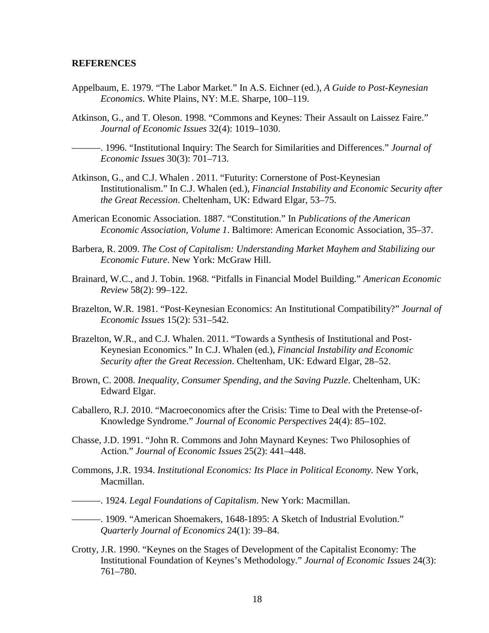#### **REFERENCES**

- Appelbaum, E. 1979. "The Labor Market." In A.S. Eichner (ed.), *A Guide to Post-Keynesian Economics*. White Plains, NY: M.E. Sharpe, 100–119.
- Atkinson, G., and T. Oleson. 1998. "Commons and Keynes: Their Assault on Laissez Faire." *Journal of Economic Issues* 32(4): 1019–1030.

———. 1996. "Institutional Inquiry: The Search for Similarities and Differences." *Journal of Economic Issues* 30(3): 701–713.

- Atkinson, G., and C.J. Whalen . 2011. "Futurity: Cornerstone of Post-Keynesian Institutionalism." In C.J. Whalen (ed.), *Financial Instability and Economic Security after the Great Recession*. Cheltenham, UK: Edward Elgar, 53–75.
- American Economic Association. 1887. "Constitution." In *Publications of the American Economic Association, Volume 1*. Baltimore: American Economic Association, 35–37.
- Barbera, R. 2009. *The Cost of Capitalism: Understanding Market Mayhem and Stabilizing our Economic Future*. New York: McGraw Hill.
- Brainard, W.C., and J. Tobin. 1968. "Pitfalls in Financial Model Building." *American Economic Review* 58(2): 99–122.
- Brazelton, W.R. 1981. "Post-Keynesian Economics: An Institutional Compatibility?" *Journal of Economic Issues* 15(2): 531–542.
- Brazelton, W.R., and C.J. Whalen. 2011. "Towards a Synthesis of Institutional and Post-Keynesian Economics." In C.J. Whalen (ed.), *Financial Instability and Economic Security after the Great Recession*. Cheltenham, UK: Edward Elgar, 28–52.
- Brown, C. 2008. *Inequality, Consumer Spending, and the Saving Puzzle*. Cheltenham, UK: Edward Elgar.
- Caballero, R.J. 2010. "Macroeconomics after the Crisis: Time to Deal with the Pretense-of-Knowledge Syndrome." *Journal of Economic Perspectives* 24(4): 85–102.
- Chasse, J.D. 1991. "John R. Commons and John Maynard Keynes: Two Philosophies of Action." *Journal of Economic Issues* 25(2): 441–448.
- Commons, J.R. 1934. *Institutional Economics: Its Place in Political Economy.* New York, Macmillan.
- ———. 1924. *Legal Foundations of Capitalism*. New York: Macmillan.
- ———. 1909. "American Shoemakers, 1648-1895: A Sketch of Industrial Evolution." *Quarterly Journal of Economics* 24(1): 39–84.
- Crotty, J.R. 1990. "Keynes on the Stages of Development of the Capitalist Economy: The Institutional Foundation of Keynes's Methodology." *Journal of Economic Issues* 24(3): 761–780.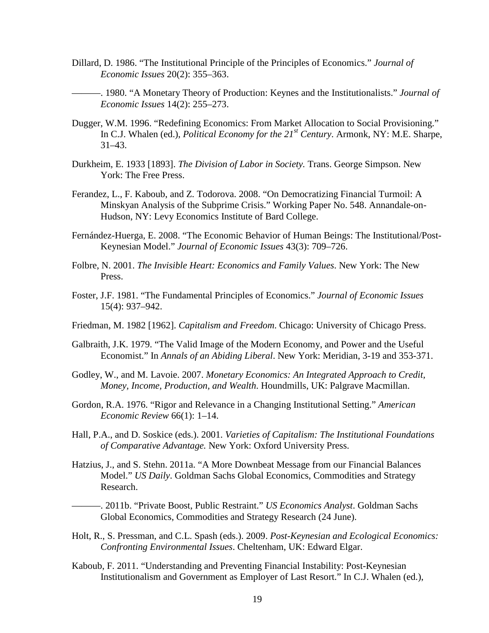- Dillard, D. 1986. "The Institutional Principle of the Principles of Economics." *Journal of Economic Issues* 20(2): 355–363.
- ———. 1980. "A Monetary Theory of Production: Keynes and the Institutionalists." *Journal of Economic Issues* 14(2): 255–273.
- Dugger, W.M. 1996. "Redefining Economics: From Market Allocation to Social Provisioning." In C.J. Whalen (ed.), *Political Economy for the 21st Century*. Armonk, NY: M.E. Sharpe, 31–43.
- Durkheim, E. 1933 [1893]. *The Division of Labor in Society.* Trans. George Simpson. New York: The Free Press.
- Ferandez, L., F. Kaboub, and Z. Todorova. 2008. "On Democratizing Financial Turmoil: A Minskyan Analysis of the Subprime Crisis." Working Paper No. 548. Annandale-on-Hudson, NY: Levy Economics Institute of Bard College.
- Fernández-Huerga, E. 2008. "The Economic Behavior of Human Beings: The Institutional/Post-Keynesian Model." *Journal of Economic Issues* 43(3): 709–726.
- Folbre, N. 2001. *The Invisible Heart: Economics and Family Values*. New York: The New Press.
- Foster, J.F. 1981. "The Fundamental Principles of Economics." *Journal of Economic Issues* 15(4): 937–942.
- Friedman, M. 1982 [1962]. *Capitalism and Freedom*. Chicago: University of Chicago Press.
- Galbraith, J.K. 1979. "The Valid Image of the Modern Economy, and Power and the Useful Economist." In *Annals of an Abiding Liberal*. New York: Meridian, 3-19 and 353-371.
- Godley, W., and M. Lavoie. 2007. *Monetary Economics: An Integrated Approach to Credit, Money, Income, Production, and Wealth*. Houndmills, UK: Palgrave Macmillan.
- Gordon, R.A. 1976. "Rigor and Relevance in a Changing Institutional Setting." *American Economic Review* 66(1): 1–14.
- Hall, P.A., and D. Soskice (eds.). 2001. *Varieties of Capitalism: The Institutional Foundations of Comparative Advantage.* New York: Oxford University Press.
- Hatzius, J., and S. Stehn. 2011a. "A More Downbeat Message from our Financial Balances Model." *US Daily*. Goldman Sachs Global Economics, Commodities and Strategy Research.
- ———. 2011b. "Private Boost, Public Restraint." *US Economics Analyst*. Goldman Sachs Global Economics, Commodities and Strategy Research (24 June).
- Holt, R., S. Pressman, and C.L. Spash (eds.). 2009. *Post-Keynesian and Ecological Economics: Confronting Environmental Issues*. Cheltenham, UK: Edward Elgar.
- Kaboub, F. 2011. "Understanding and Preventing Financial Instability: Post-Keynesian Institutionalism and Government as Employer of Last Resort." In C.J. Whalen (ed.),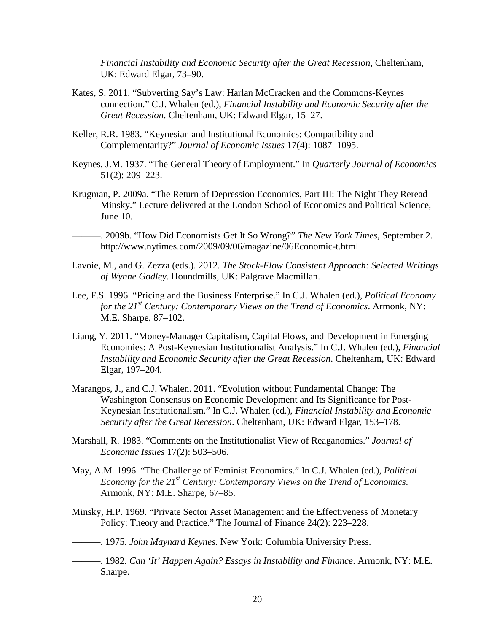*Financial Instability and Economic Security after the Great Recession*, Cheltenham, UK: Edward Elgar, 73–90.

- Kates, S. 2011. "Subverting Say's Law: Harlan McCracken and the Commons-Keynes connection." C.J. Whalen (ed.), *Financial Instability and Economic Security after the Great Recession*. Cheltenham, UK: Edward Elgar, 15–27.
- Keller, R.R. 1983. "Keynesian and Institutional Economics: Compatibility and Complementarity?" *Journal of Economic Issues* 17(4): 1087–1095.
- Keynes, J.M. 1937. "The General Theory of Employment." In *Quarterly Journal of Economics* 51(2): 209–223.
- Krugman, P. 2009a. "The Return of Depression Economics, Part III: The Night They Reread Minsky." Lecture delivered at the London School of Economics and Political Science, June 10.
	- ———. 2009b. "How Did Economists Get It So Wrong?" *The New York Times*, September 2. http://www.nytimes.com/2009/09/06/magazine/06Economic-t.html
- Lavoie, M., and G. Zezza (eds.). 2012. *The Stock-Flow Consistent Approach: Selected Writings of Wynne Godley*. Houndmills, UK: Palgrave Macmillan.
- Lee, F.S. 1996. "Pricing and the Business Enterprise." In C.J. Whalen (ed.), *Political Economy for the 21st Century: Contemporary Views on the Trend of Economics*. Armonk, NY: M.E. Sharpe, 87–102.
- Liang, Y. 2011. "Money-Manager Capitalism, Capital Flows, and Development in Emerging Economies: A Post-Keynesian Institutionalist Analysis." In C.J. Whalen (ed.), *Financial Instability and Economic Security after the Great Recession*. Cheltenham, UK: Edward Elgar, 197–204.
- Marangos, J., and C.J. Whalen. 2011. "Evolution without Fundamental Change: The Washington Consensus on Economic Development and Its Significance for Post-Keynesian Institutionalism." In C.J. Whalen (ed.), *Financial Instability and Economic Security after the Great Recession*. Cheltenham, UK: Edward Elgar, 153–178.
- Marshall, R. 1983. "Comments on the Institutionalist View of Reaganomics." *Journal of Economic Issues* 17(2): 503–506.
- May, A.M. 1996. "The Challenge of Feminist Economics." In C.J. Whalen (ed.), *Political Economy for the 21st Century: Contemporary Views on the Trend of Economics*. Armonk, NY: M.E. Sharpe, 67–85.
- Minsky, H.P. 1969. "Private Sector Asset Management and the Effectiveness of Monetary Policy: Theory and Practice." The Journal of Finance 24(2): 223–228.

———. 1975. *John Maynard Keynes.* New York: Columbia University Press.

———. 1982. *Can 'It' Happen Again? Essays in Instability and Finance*. Armonk, NY: M.E. Sharpe.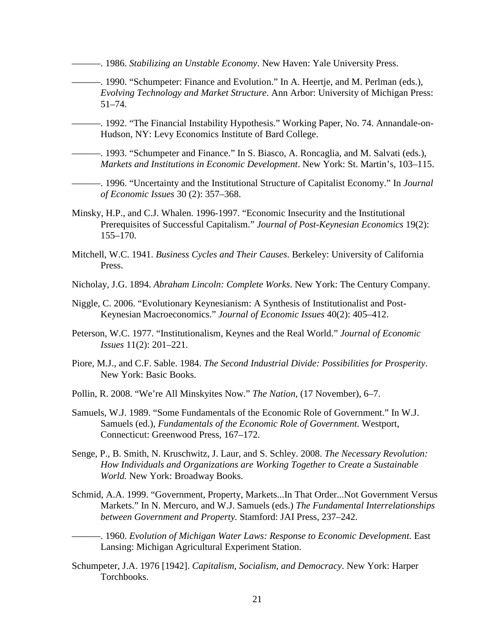- ———. 1986. *Stabilizing an Unstable Economy*. New Haven: Yale University Press.
- ———. 1990. "Schumpeter: Finance and Evolution." In A. Heertje, and M. Perlman (eds.), *Evolving Technology and Market Structure*. Ann Arbor: University of Michigan Press: 51–74.
- ———. 1992. "The Financial Instability Hypothesis." Working Paper, No. 74. Annandale-on-Hudson, NY: Levy Economics Institute of Bard College.
- ———. 1993. "Schumpeter and Finance." In S. Biasco, A. Roncaglia, and M. Salvati (eds.), *Markets and Institutions in Economic Development*. New York: St. Martin's, 103–115.
- ———. 1996. "Uncertainty and the Institutional Structure of Capitalist Economy." In *Journal of Economic Issues* 30 (2): 357–368.
- Minsky, H.P., and C.J. Whalen. 1996-1997. "Economic Insecurity and the Institutional Prerequisites of Successful Capitalism." *Journal of Post-Keynesian Economics* 19(2): 155–170.
- Mitchell, W.C. 1941. *Business Cycles and Their Causes*. Berkeley: University of California Press.
- Nicholay, J.G. 1894. *Abraham Lincoln: Complete Works*. New York: The Century Company.
- Niggle, C. 2006. "Evolutionary Keynesianism: A Synthesis of Institutionalist and Post-Keynesian Macroeconomics." *Journal of Economic Issues* 40(2): 405–412.
- Peterson, W.C. 1977. "Institutionalism, Keynes and the Real World." *Journal of Economic Issues* 11(2): 201–221.
- Piore, M.J., and C.F. Sable. 1984. *The Second Industrial Divide: Possibilities for Prosperity*. New York: Basic Books.
- Pollin, R. 2008. "We're All Minskyites Now." *The Nation,* (17 November), 6–7.
- Samuels, W.J. 1989. "Some Fundamentals of the Economic Role of Government." In W.J. Samuels (ed.), *Fundamentals of the Economic Role of Government.* Westport, Connecticut: Greenwood Press, 167–172.
- Senge, P., B. Smith, N. Kruschwitz, J. Laur, and S. Schley. 2008. *The Necessary Revolution: How Individuals and Organizations are Working Together to Create a Sustainable World.* New York: Broadway Books.
- Schmid, A.A. 1999. "Government, Property, Markets...In That Order...Not Government Versus Markets." In N. Mercuro, and W.J. Samuels (eds.) *The Fundamental Interrelationships between Government and Property.* Stamford: JAI Press, 237–242.
	- ———. 1960. *Evolution of Michigan Water Laws: Response to Economic Development.* East Lansing: Michigan Agricultural Experiment Station.
- Schumpeter, J.A. 1976 [1942]. *Capitalism, Socialism, and Democracy*. New York: Harper Torchbooks.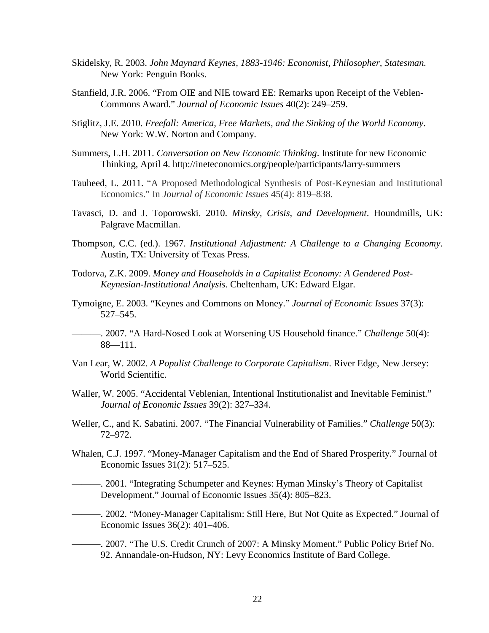- Skidelsky, R. 2003. *John Maynard Keynes, 1883-1946: Economist, Philosopher, Statesman.* New York: Penguin Books.
- Stanfield, J.R. 2006. "From OIE and NIE toward EE: Remarks upon Receipt of the Veblen-Commons Award." *Journal of Economic Issues* 40(2): 249–259.
- Stiglitz, J.E. 2010. *Freefall: America, Free Markets, and the Sinking of the World Economy*. New York: W.W. Norton and Company.
- Summers, L.H. 2011. *Conversation on New Economic Thinking*. Institute for new Economic Thinking, April 4. http://ineteconomics.org/people/participants/larry-summers
- Tauheed, L. 2011. "A Proposed Methodological Synthesis of Post-Keynesian and Institutional Economics." In *Journal of Economic Issues* 45(4): 819–838.
- Tavasci, D. and J. Toporowski. 2010. *Minsky, Crisis, and Development*. Houndmills, UK: Palgrave Macmillan.
- Thompson, C.C. (ed.). 1967. *Institutional Adjustment: A Challenge to a Changing Economy*. Austin, TX: University of Texas Press.
- Todorva, Z.K. 2009. *Money and Households in a Capitalist Economy: A Gendered Post-Keynesian-Institutional Analysis*. Cheltenham, UK: Edward Elgar.
- Tymoigne, E. 2003. "Keynes and Commons on Money." *Journal of Economic Issues* 37(3): 527–545.
- ———. 2007. "A Hard-Nosed Look at Worsening US Household finance." *Challenge* 50(4): 88—111.
- Van Lear, W. 2002. *A Populist Challenge to Corporate Capitalism*. River Edge, New Jersey: World Scientific.
- Waller, W. 2005. "Accidental Veblenian, Intentional Institutionalist and Inevitable Feminist." *Journal of Economic Issues* 39(2): 327–334.
- Weller, C., and K. Sabatini. 2007. "The Financial Vulnerability of Families." *Challenge* 50(3): 72–972.
- Whalen, C.J. 1997. "Money-Manager Capitalism and the End of Shared Prosperity." Journal of Economic Issues 31(2): 517–525.

———. 2001. "Integrating Schumpeter and Keynes: Hyman Minsky's Theory of Capitalist Development." Journal of Economic Issues 35(4): 805–823.

———. 2002. "Money-Manager Capitalism: Still Here, But Not Quite as Expected." Journal of Economic Issues 36(2): 401–406.

———. 2007. "The U.S. Credit Crunch of 2007: A Minsky Moment." Public Policy Brief No. 92. Annandale-on-Hudson, NY: Levy Economics Institute of Bard College.